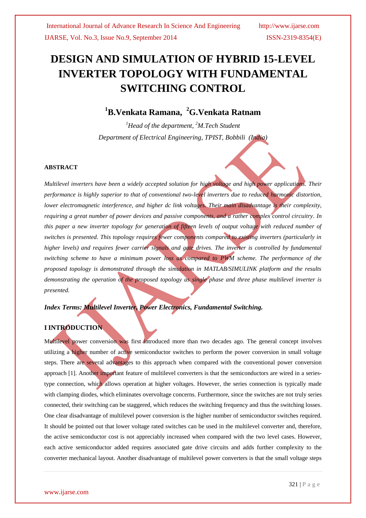# **DESIGN AND SIMULATION OF HYBRID 15-LEVEL INVERTER TOPOLOGY WITH FUNDAMENTAL SWITCHING CONTROL**

# **<sup>1</sup>B.Venkata Ramana, <sup>2</sup>G.Venkata Ratnam**

*<sup>1</sup>Head of the department, <sup>2</sup>M.Tech Student Department of Electrical Engineering, TPIST, Bobbili (India)*

#### **ABSTRACT**

*Multilevel inverters have been a widely accepted solution for high voltage and high power applications. Their performance is highly superior to that of conventional two-level inverters due to reduced harmonic distortion, lower electromagnetic interference, and higher dc link voltages. Their main disadvantage is their complexity, requiring a great number of power devices and passive components, and a rather complex control circuitry. In this paper a new inverter topology for generation of fifteen levels of output voltage with reduced number of switches is presented. This topology requires fewer components compared to existing inverters (particularly in higher levels) and requires fewer carrier signals and gate drives. The inverter is controlled by fundamental switching scheme to have a minimum power loss as compared to PWM scheme. The performance of the proposed topology is demonstrated through the simulation in MATLAB/SIMULINK platform and the results demonstrating the operation of the proposed topology as single phase and three phase multilevel inverter is presented.*

### *Index Terms: Multilevel Inverter, Power Electronics, Fundamental Switching.*

### **I INTRODUCTION**

Multilevel power conversion was first introduced more than two decades ago. The general concept involves utilizing a higher number of active semiconductor switches to perform the power conversion in small voltage steps. There are several advantages to this approach when compared with the conventional power conversion approach [1]. Another important feature of multilevel converters is that the semiconductors are wired in a seriestype connection, which allows operation at higher voltages. However, the series connection is typically made with clamping diodes, which eliminates overvoltage concerns. Furthermore, since the switches are not truly series connected, their switching can be staggered, which reduces the switching frequency and thus the switching losses. One clear disadvantage of multilevel power conversion is the higher number of semiconductor switches required. It should be pointed out that lower voltage rated switches can be used in the multilevel converter and, therefore, the active semiconductor cost is not appreciably increased when compared with the two level cases. However, each active semiconductor added requires associated gate drive circuits and adds further complexity to the converter mechanical layout. Another disadvantage of multilevel power converters is that the small voltage steps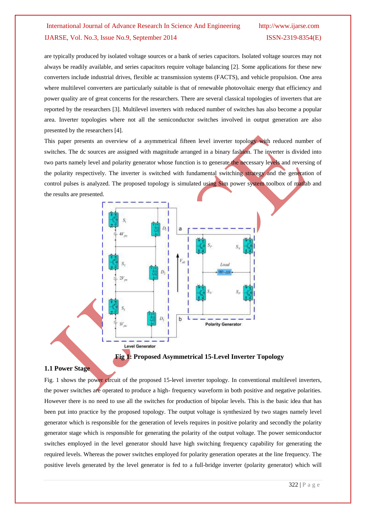are typically produced by isolated voltage sources or a bank of series capacitors. Isolated voltage sources may not always be readily available, and series capacitors require voltage balancing [2]. Some applications for these new converters include industrial drives, flexible ac transmission systems (FACTS), and vehicle propulsion. One area where multilevel converters are particularly suitable is that of renewable photovoltaic energy that efficiency and power quality are of great concerns for the researchers. There are several classical topologies of inverters that are reported by the researchers [3]. Multilevel inverters with reduced number of switches has also become a popular area. Inverter topologies where not all the semiconductor switches involved in output generation are also presented by the researchers [4].

This paper presents an overview of a asymmetrical fifteen level inverter topology with reduced number of switches. The dc sources are assigned with magnitude arranged in a binary fashion. The inverter is divided into two parts namely level and polarity generator whose function is to generate the necessary levels and reversing of the polarity respectively. The inverter is switched with fundamental switching strategy and the generation of control pulses is analyzed. The proposed topology is simulated using Sim power system toolbox of matlab and the results are presented.



#### **1.1 Power Stage**

Fig. 1 shows the power circuit of the proposed 15-level inverter topology. In conventional multilevel inverters, the power switches are operated to produce a high- frequency waveform in both positive and negative polarities. However there is no need to use all the switches for production of bipolar levels. This is the basic idea that has been put into practice by the proposed topology. The output voltage is synthesized by two stages namely level generator which is responsible for the generation of levels requires in positive polarity and secondly the polarity generator stage which is responsible for generating the polarity of the output voltage. The power semiconductor switches employed in the level generator should have high switching frequency capability for generating the required levels. Whereas the power switches employed for polarity generation operates at the line frequency. The positive levels generated by the level generator is fed to a full-bridge inverter (polarity generator) which will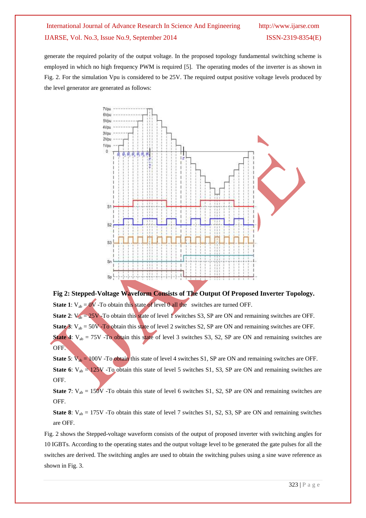generate the required polarity of the output voltage. In the proposed topology fundamental switching scheme is employed in which no high frequency PWM is required [5]. The operating modes of the inverter is as shown in Fig. 2. For the simulation Vpu is considered to be 25V. The required output positive voltage levels produced by the level generator are generated as follows:



**Fig 2: Stepped-Voltage Waveform Consists of The Output Of Proposed Inverter Topology. State 1**:  $V_{ab} = 0V$  -To obtain this state of level 0 all the switches are turned OFF.

**State 2:** V<sub>ab</sub> = 25V -To obtain this state of level 1 switches S3, SP are ON and remaining switches are OFF. **State 3**:  $V_{ab} = 50V - To obtain this state of level 2 switches S2, SP are ON and remaining switches are OFF.$ **State 4**:  $V_{ab} = 75V$  -To obtain this state of level 3 switches S3, S2, SP are ON and remaining switches are OFF.

**State 5**:  $V_{ab} = 100V$  -To obtain this state of level 4 switches S1, SP are ON and remaining switches are OFF. **State 6**:  $V_{ab} = 125V$  -To obtain this state of level 5 switches S1, S3, SP are ON and remaining switches are OFF.

**State 7:**  $V_{ab} = 150V$  -To obtain this state of level 6 switches S1, S2, SP are ON and remaining switches are OFF.

**State 8**:  $V_{ab} = 175V$  -To obtain this state of level 7 switches S1, S2, S3, SP are ON and remaining switches are OFF.

Fig. 2 shows the Stepped-voltage waveform consists of the output of proposed inverter with switching angles for 10 IGBTs. According to the operating states and the output voltage level to be generated the gate pulses for all the switches are derived. The switching angles are used to obtain the switching pulses using a sine wave reference as shown in Fig. 3.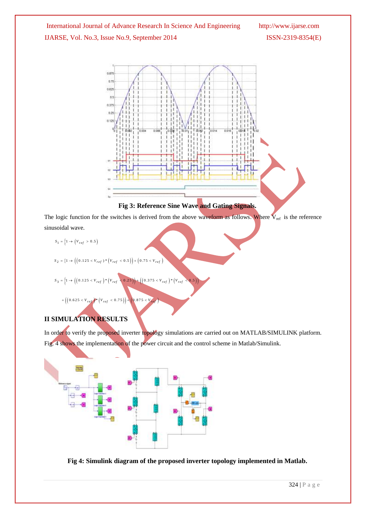



The logic function for the switches is derived from the above waveform as follows. Where  $V_{ref}$  is the reference sinusoidal wave.

 $S_1 = \left\{ 1 \to \left( V_{ref} > 0.5 \right) \right\}$ 

$$
S_2 = \left\{1 \to \left( \left(0.125 < V_{ref}\right) * \left(V_{ref} < 0.5\right)\right) + \left(0.75 < V_{ref}\right)\right.\right\}
$$

$$
S_3 = \left\{1 \to \left( \left(0.125 < V_{ref}\right) * \left(V_{ref} < 0.25\right)\right) + \left(\left(0.375 < V_{ref}\right) * \left(V_{ref} < 0.5\right)\right)\right)\right\}
$$

 $+\left(\left(0.625 < V_{ref}\right)*\left(V_{ref} < 0.75\right)\right)+\left(0.875 < V_{ref}\right)$ 

### **II SIMULATION RESULTS**

In order to verify the proposed inverter topology simulations are carried out on MATLAB/SIMULINK platform. Fig. 4 shows the implementation of the power circuit and the control scheme in Matlab/Simulink.



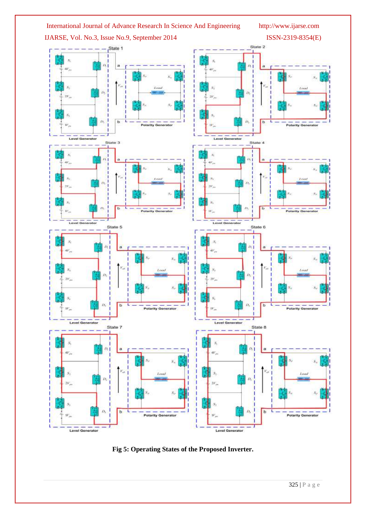

**Fig 5: Operating States of the Proposed Inverter.**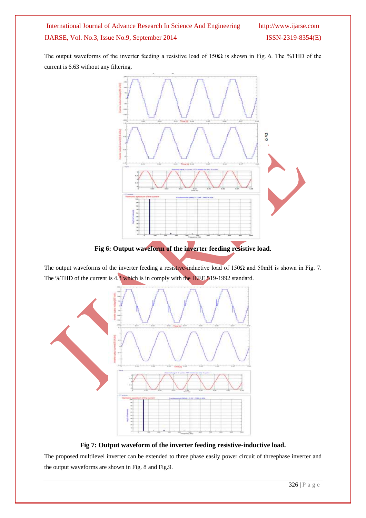The output waveforms of the inverter feeding a resistive load of 150Ω is shown in Fig. 6. The %THD of the current is 6.63 without any filtering.



The output waveforms of the inverter feeding a resistive-inductive load of 150 $\Omega$  and 50mH is shown in Fig. 7. The %THD of the current is 4.3 which is in comply with the IEEE 519-1992 standard.



**Fig 7: Output waveform of the inverter feeding resistive-inductive load.**

The proposed multilevel inverter can be extended to three phase easily power circuit of threephase inverter and the output waveforms are shown in Fig. 8 and Fig.9.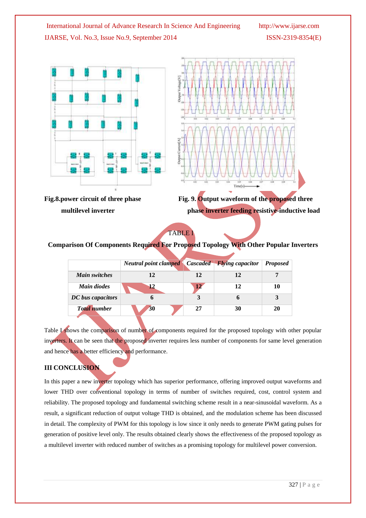



Fig. 8. power circuit of three phase Fig. 9. Output waveform of the **proposed** three *multilevel inverter multilevel inverter multilevel inverter feeding resistive-inductive load* 

TABLE I

### **Comparison Of Components Required For Proposed Topology With Other Popular Inverters**

|                      | <b>Neutral point clamped</b> Cascaded Flying capacitor |                 |    | <b>Proposed</b> |
|----------------------|--------------------------------------------------------|-----------------|----|-----------------|
| <b>Main switches</b> | 12                                                     | 12              | 12 |                 |
| <b>Main diodes</b>   | 12                                                     | 12 <sup>7</sup> | 12 | 10              |
| DC bus capacitors    | n                                                      |                 |    |                 |
| <b>Total number</b>  | 30                                                     | 27              | 30 | 20              |

Table *I* shows the comparison of number of components required for the proposed topology with other popular inverters. It can be seen that the proposed inverter requires less number of components for same level generation and hence has a better efficiency and performance.

### **III CONCLUSION**

In this paper a new inverter topology which has superior performance, offering improved output waveforms and lower THD over conventional topology in terms of number of switches required, cost, control system and reliability. The proposed topology and fundamental switching scheme result in a near-sinusoidal waveform. As a result, a significant reduction of output voltage THD is obtained, and the modulation scheme has been discussed in detail. The complexity of PWM for this topology is low since it only needs to generate PWM gating pulses for generation of positive level only. The results obtained clearly shows the effectiveness of the proposed topology as a multilevel inverter with reduced number of switches as a promising topology for multilevel power conversion.